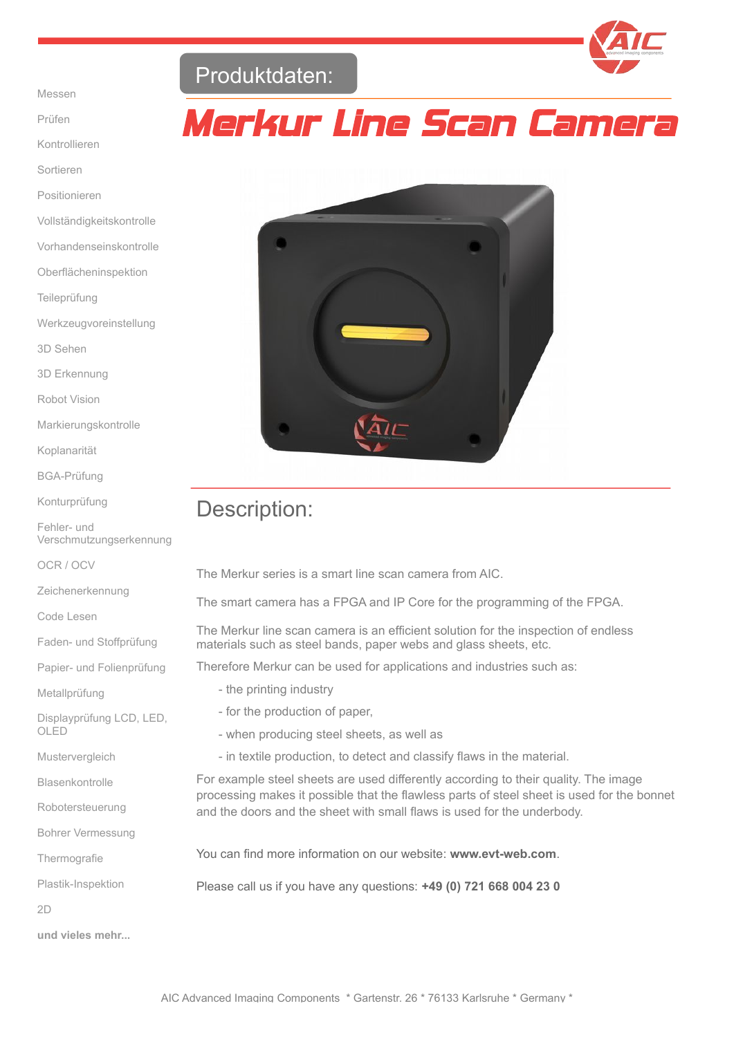

Produktdaten:

Messen

Prüfen

Kontrollieren

Sortieren

Positionieren

Vollständigkeitskontrolle

Vorhandenseinskontrolle

Oberflächeninspektion

**Teileprüfung** 

Werkzeugvoreinstellung

3D Sehen

3D Erkennung

Robot Vision

Markierungskontrolle

Koplanarität

BGA-Prüfung

Konturprüfung

Fehler- und Verschmutzungserkennung

OCR / OCV

Zeichenerkennung

Code Lesen

Faden- und Stoffprüfung

Papier- und Folienprüfung

Metallprüfung

Displayprüfung LCD, LED, OLED

Mustervergleich

Blasenkontrolle

Robotersteuerung

Bohrer Vermessung

**Thermografie** 

Plastik-Inspektion

2D

**und vieles mehr...**

# Merkur Line Scan Camera



## Description:

The Merkur series is a smart line scan camera from AIC.

The smart camera has a FPGA and IP Core for the programming of the FPGA.

The Merkur line scan camera is an efficient solution for the inspection of endless materials such as steel bands, paper webs and glass sheets, etc.

Therefore Merkur can be used for applications and industries such as:

- the printing industry
- for the production of paper,
- when producing steel sheets, as well as
- in textile production, to detect and classify flaws in the material.

For example steel sheets are used differently according to their quality. The image processing makes it possible that the flawless parts of steel sheet is used for the bonnet and the doors and the sheet with small flaws is used for the underbody.

You can find more information on our website: **[www.evt-web.com](http://www.evt-web.com/)**.

Please call us if you have any questions: **+49 (0) 721 668 004 23 0**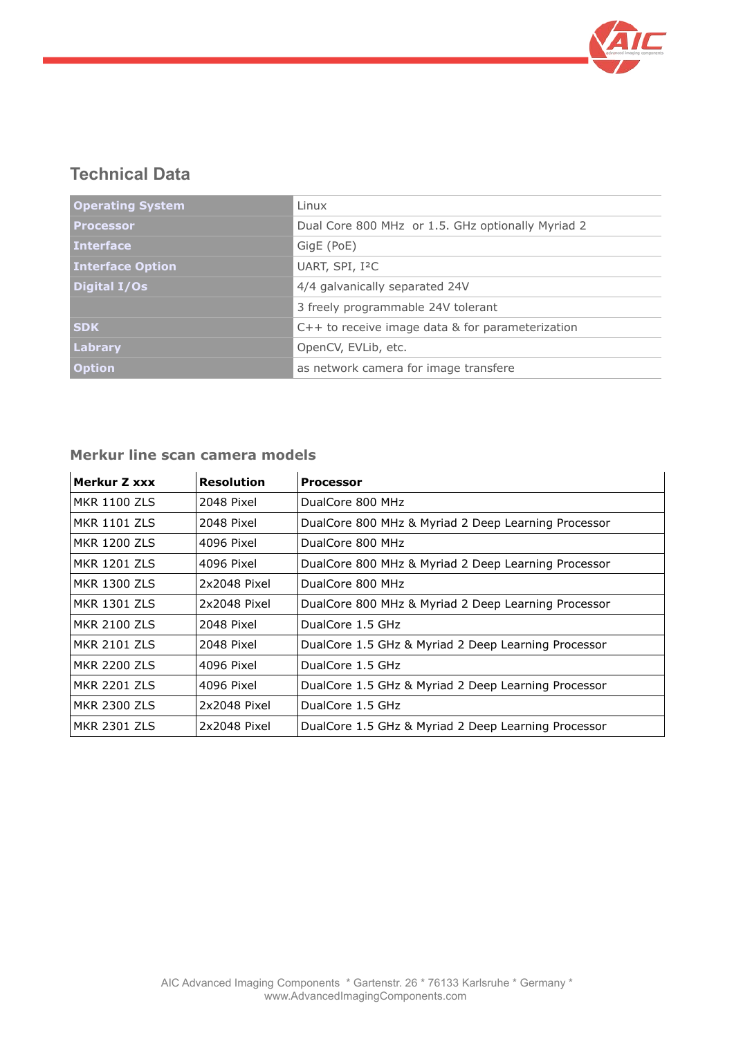

## **Technical Data**

| <b>Operating System</b> | Linux                                             |  |
|-------------------------|---------------------------------------------------|--|
| <b>Processor</b>        | Dual Core 800 MHz or 1.5. GHz optionally Myriad 2 |  |
| <b>Interface</b>        | GigE (PoE)                                        |  |
| <b>Interface Option</b> | UART, SPI, I <sup>2</sup> C                       |  |
| Digital I/Os            | 4/4 galvanically separated 24V                    |  |
|                         | 3 freely programmable 24V tolerant                |  |
| <b>SDK</b>              | C++ to receive image data & for parameterization  |  |
| Labrary                 | OpenCV, EVLib, etc.                               |  |
| <b>Option</b>           | as network camera for image transfere             |  |

| Merkur Z xxx        | <b>Resolution</b> | <b>Processor</b>                                    |
|---------------------|-------------------|-----------------------------------------------------|
| <b>MKR 1100 ZLS</b> | 2048 Pixel        | DualCore 800 MHz                                    |
| <b>MKR 1101 ZLS</b> | 2048 Pixel        | DualCore 800 MHz & Myriad 2 Deep Learning Processor |
| <b>MKR 1200 ZLS</b> | 4096 Pixel        | DualCore 800 MHz                                    |
| <b>MKR 1201 ZLS</b> | 4096 Pixel        | DualCore 800 MHz & Myriad 2 Deep Learning Processor |
| <b>MKR 1300 ZLS</b> | 2x2048 Pixel      | DualCore 800 MHz                                    |
| <b>MKR 1301 ZLS</b> | 2x2048 Pixel      | DualCore 800 MHz & Myriad 2 Deep Learning Processor |
| <b>MKR 2100 ZLS</b> | 2048 Pixel        | DualCore 1.5 GHz                                    |
| <b>MKR 2101 ZLS</b> | 2048 Pixel        | DualCore 1.5 GHz & Myriad 2 Deep Learning Processor |
| <b>MKR 2200 ZLS</b> | 4096 Pixel        | DualCore 1.5 GHz                                    |
| <b>MKR 2201 ZLS</b> | 4096 Pixel        | DualCore 1.5 GHz & Myriad 2 Deep Learning Processor |
| <b>MKR 2300 ZLS</b> | 2x2048 Pixel      | DualCore 1.5 GHz                                    |
| <b>MKR 2301 ZLS</b> | 2x2048 Pixel      | DualCore 1.5 GHz & Myriad 2 Deep Learning Processor |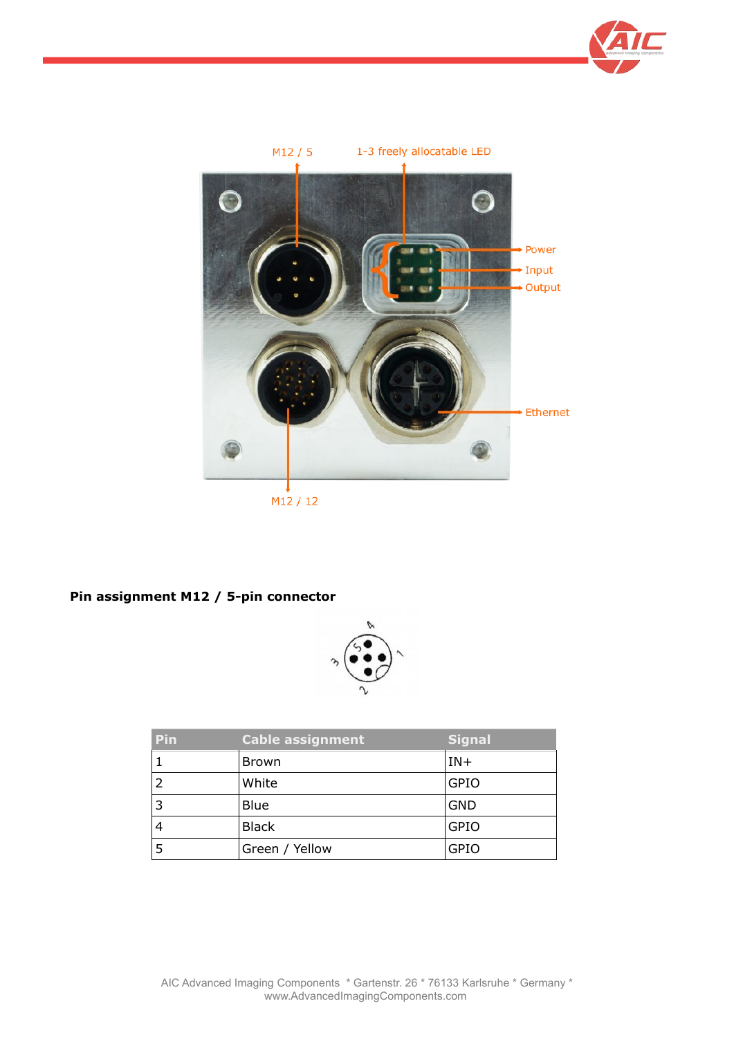

### **Pin assignment M12 / 5-pin connector**



| <b>Pin</b> | <b>Cable assignment</b> | <b>Signal</b> |
|------------|-------------------------|---------------|
|            | <b>Brown</b>            | $IN+$         |
|            | White                   | GPIO          |
| 3          | <b>Blue</b>             | <b>GND</b>    |
| 4          | <b>Black</b>            | GPIO          |
|            | Green / Yellow          | <b>GPIO</b>   |